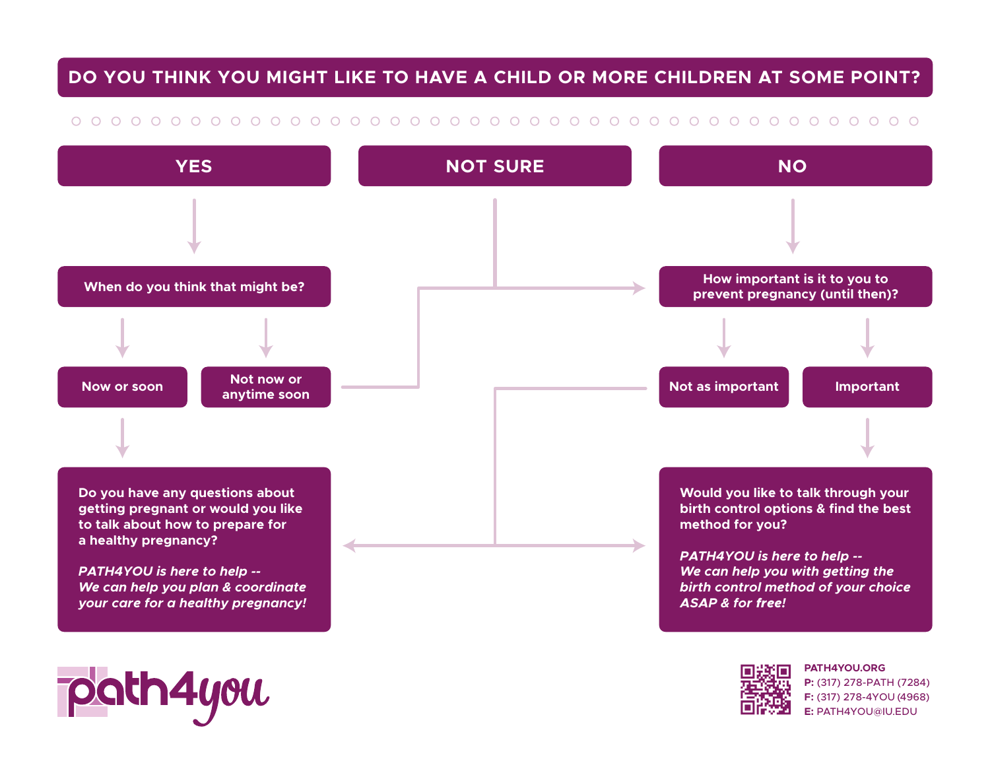## **DO YOU THINK YOU MIGHT LIKE TO HAVE A CHILD OR MORE CHILDREN AT SOME POINT?**

## 



**F:** (317) 278-4YOU (4968) **E:** PATH4YOU@IU.EDU